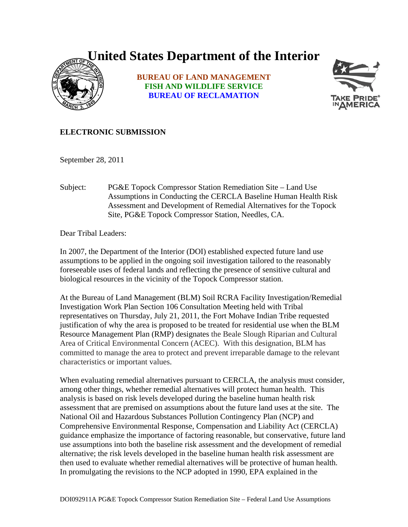## **United States Department of the Interior**



**BUREAU OF LAND MANAGEMENT FISH AND WILDLIFE SERVICE BUREAU OF RECLAMATION**



## **ELECTRONIC SUBMISSION**

September 28, 2011

Subject: PG&E Topock Compressor Station Remediation Site – Land Use Assumptions in Conducting the CERCLA Baseline Human Health Risk Assessment and Development of Remedial Alternatives for the Topock Site, PG&E Topock Compressor Station, Needles, CA.

Dear Tribal Leaders:

In 2007, the Department of the Interior (DOI) established expected future land use assumptions to be applied in the ongoing soil investigation tailored to the reasonably foreseeable uses of federal lands and reflecting the presence of sensitive cultural and biological resources in the vicinity of the Topock Compressor station.

At the Bureau of Land Management (BLM) Soil RCRA Facility Investigation/Remedial Investigation Work Plan Section 106 Consultation Meeting held with Tribal representatives on Thursday, July 21, 2011, the Fort Mohave Indian Tribe requested justification of why the area is proposed to be treated for residential use when the BLM Resource Management Plan (RMP) designates the Beale Slough Riparian and Cultural Area of Critical Environmental Concern (ACEC). With this designation, BLM has committed to manage the area to protect and prevent irreparable damage to the relevant characteristics or important values.

When evaluating remedial alternatives pursuant to CERCLA, the analysis must consider, among other things, whether remedial alternatives will protect human health. This analysis is based on risk levels developed during the baseline human health risk assessment that are premised on assumptions about the future land uses at the site. The National Oil and Hazardous Substances Pollution Contingency Plan (NCP) and Comprehensive Environmental Response, Compensation and Liability Act (CERCLA) guidance emphasize the importance of factoring reasonable, but conservative, future land use assumptions into both the baseline risk assessment and the development of remedial alternative; the risk levels developed in the baseline human health risk assessment are then used to evaluate whether remedial alternatives will be protective of human health. In promulgating the revisions to the NCP adopted in 1990, EPA explained in the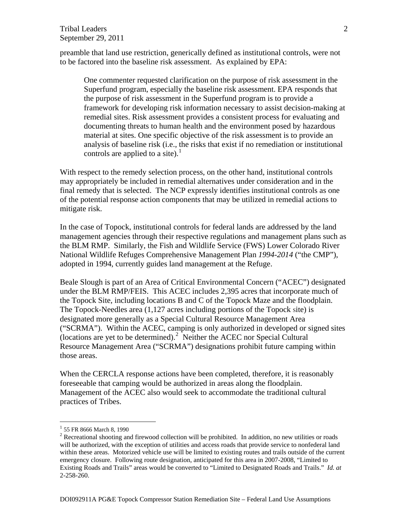## Tribal Leaders September 29, 2011

preamble that land use restriction, generically defined as institutional controls, were not to be factored into the baseline risk assessment. As explained by EPA:

One commenter requested clarification on the purpose of risk assessment in the Superfund program, especially the baseline risk assessment. EPA responds that the purpose of risk assessment in the Superfund program is to provide a framework for developing risk information necessary to assist decision-making at remedial sites. Risk assessment provides a consistent process for evaluating and documenting threats to human health and the environment posed by hazardous material at sites. One specific objective of the risk assessment is to provide an analysis of baseline risk (i.e., the risks that exist if no remediation or institutional controls are applied to a site).<sup>1</sup>

With respect to the remedy selection process, on the other hand, institutional controls may appropriately be included in remedial alternatives under consideration and in the final remedy that is selected. The NCP expressly identifies institutional controls as one of the potential response action components that may be utilized in remedial actions to mitigate risk.

In the case of Topock, institutional controls for federal lands are addressed by the land management agencies through their respective regulations and management plans such as the BLM RMP. Similarly, the Fish and Wildlife Service (FWS) Lower Colorado River National Wildlife Refuges Comprehensive Management Plan *1994-2014* ("the CMP"), adopted in 1994, currently guides land management at the Refuge.

Beale Slough is part of an Area of Critical Environmental Concern ("ACEC") designated under the BLM RMP/FEIS. This ACEC includes 2,395 acres that incorporate much of the Topock Site, including locations B and C of the Topock Maze and the floodplain. The Topock-Needles area  $(1,127)$  acres including portions of the Topock site) is designated more generally as a Special Cultural Resource Management Area ("SCRMA"). Within the ACEC, camping is only authorized in developed or signed sites (locations are yet to be determined). $2$  Neither the ACEC nor Special Cultural Resource Management Area ("SCRMA") designations prohibit future camping within those areas.

When the CERCLA response actions have been completed, therefore, it is reasonably foreseeable that camping would be authorized in areas along the floodplain. Management of the ACEC also would seek to accommodate the traditional cultural practices of Tribes.

<u>.</u>

<span id="page-1-0"></span><sup>&</sup>lt;sup>1</sup> 55 FR 8666 March 8, 1990

<span id="page-1-1"></span><sup>&</sup>lt;sup>2</sup> Recreational shooting and firewood collection will be prohibited. In addition, no new utilities or roads will be authorized, with the exception of utilities and access roads that provide service to nonfederal land within these areas. Motorized vehicle use will be limited to existing routes and trails outside of the current emergency closure. Following route designation, anticipated for this area in 2007-2008, "Limited to Existing Roads and Trails" areas would be converted to "Limited to Designated Roads and Trails." *Id. at* 2-258-260.